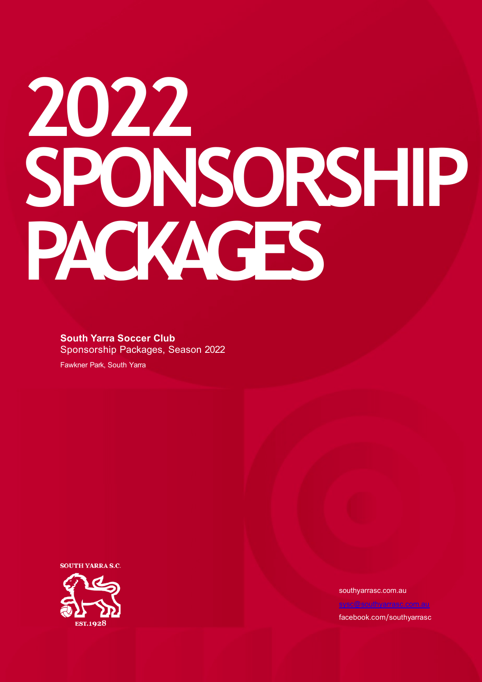# **2022 SPONSORSHIP PACKAGES**

### **South Yarra Soccer Club**

Sponsorship Packages, Season 2022

Fawkner Park, South Yarra

**SOUTH YARRA S.C.** 



southyarrasc.com.au facebook.com/southyarrasc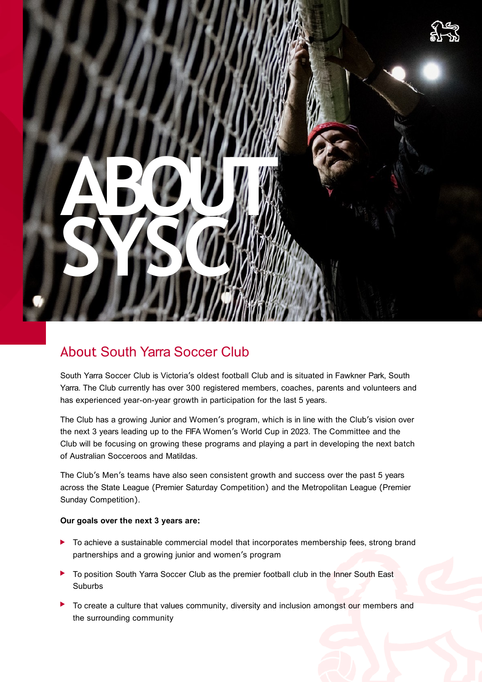

### About South Yarra Soccer Club

South Yarra Soccer Club is Victoria's oldest football Club and is situated in Fawkner Park, South Yarra. The Club currently has over 300 registered members, coaches, parents and volunteers and has experienced year-on-year growth in participation for the last 5 years.

The Club has a growing Junior and Women's program, which is in line with the Club's vision over the next 3 years leading up to the FIFA Women's World Cup in 2023. The Committee and the Club will be focusing on growing these programs and playing a part in developing the next batch of Australian Socceroos and Matildas.

The Club's Men's teams have also seen consistent growth and success over the past 5 years across the State League (Premier Saturday Competition) and the Metropolitan League (Premier Sunday Competition).

#### **Our goals over the next 3 years are:**

- ▶ To achieve a sustainable commercial model that incorporates membership fees, strong brand partnerships and a growing junior and women's program
- To position South Yarra Soccer Club as the premier football club in the Inner South East Suburbs
- To create a culture that values community, diversity and inclusion amongst our members and the surrounding community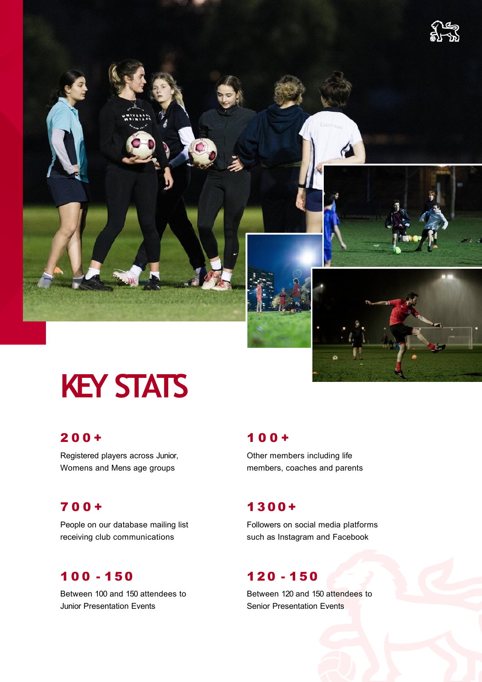

# **KEY STATS**

### 2 0 0 +

Registered players across Junior, Womens and Mens age groups

### 700+

People on our database mailing list receiving club communications

### 100 - 150

Between 100 and 150 attendees to Junior Presentation Events

### 1 00+

Other members including life members, coaches and parents

### 1300+

Followers on social media platforms such as Instagram and Facebook

### 120 - 150

Between 120 and 150 attendees to Senior Presentation Events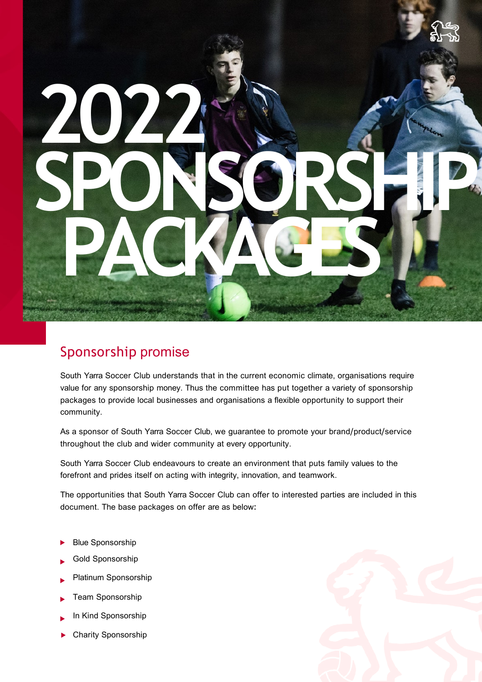# **2 SPONSORSHIP PACKAGES**

### Sponsorship promise

South Yarra Soccer Club understands that in the current economic climate, organisations require value for any sponsorship money. Thus the committee has put together a variety of sponsorship packages to provide local businesses and organisations a flexible opportunity to support their community.

As a sponsor of South Yarra Soccer Club, we guarantee to promote your brand/product/service throughout the club and wider community at every opportunity.

South Yarra Soccer Club endeavours to create an environment that puts family values to the forefront and prides itself on acting with integrity, innovation, and teamwork.

The opportunities that South Yarra Soccer Club can offer to interested parties are included in this document. The base packages on offer are as below:

- Blue Sponsorship
- Gold Sponsorship
- Platinum Sponsorship
- Team Sponsorship
- In Kind Sponsorship
- Charity Sponsorship

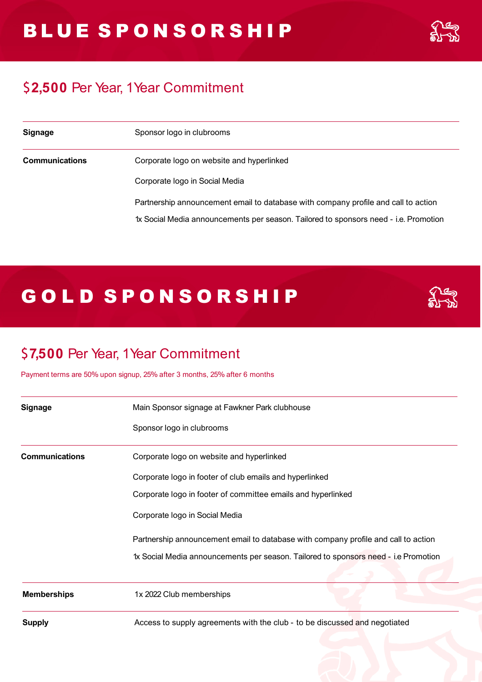### \$**2,500** Per Year, 1Year Commitment

| <b>Signage</b>        | Sponsor logo in clubrooms                                                            |
|-----------------------|--------------------------------------------------------------------------------------|
| <b>Communications</b> | Corporate logo on website and hyperlinked                                            |
|                       | Corporate logo in Social Media                                                       |
|                       | Partnership announcement email to database with company profile and call to action   |
|                       | 1x Social Media announcements per season. Tailored to sponsors need - i.e. Promotion |

### GOLD SPONSORSHIP



### \$**7,500** Per Year, 1Year Commitment

Payment terms are 50% upon signup, 25% after 3 months, 25% after 6 months

| <b>Signage</b>        | Main Sponsor signage at Fawkner Park clubhouse                                      |
|-----------------------|-------------------------------------------------------------------------------------|
|                       | Sponsor logo in clubrooms                                                           |
| <b>Communications</b> | Corporate logo on website and hyperlinked                                           |
|                       | Corporate logo in footer of club emails and hyperlinked                             |
|                       | Corporate logo in footer of committee emails and hyperlinked                        |
|                       | Corporate logo in Social Media                                                      |
|                       | Partnership announcement email to database with company profile and call to action  |
|                       | 1x Social Media announcements per season. Tailored to sponsors need - i.e Promotion |
|                       |                                                                                     |
| <b>Memberships</b>    | 1x 2022 Club memberships                                                            |
| <b>Supply</b>         | Access to supply agreements with the club - to be discussed and negotiated          |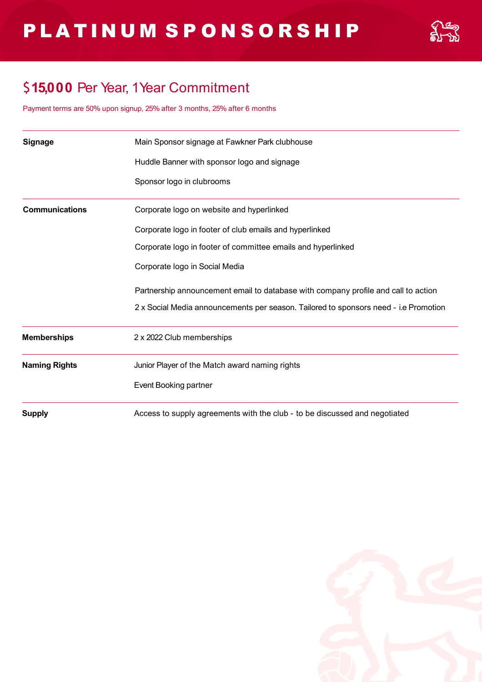

### \$**15,000** Per Year, 1Year Commitment

Payment terms are 50% upon signup, 25% after 3 months, 25% after 6 months

| <b>Signage</b>        | Main Sponsor signage at Fawkner Park clubhouse                                       |
|-----------------------|--------------------------------------------------------------------------------------|
|                       | Huddle Banner with sponsor logo and signage                                          |
|                       | Sponsor logo in clubrooms                                                            |
| <b>Communications</b> | Corporate logo on website and hyperlinked                                            |
|                       | Corporate logo in footer of club emails and hyperlinked                              |
|                       | Corporate logo in footer of committee emails and hyperlinked                         |
|                       | Corporate logo in Social Media                                                       |
|                       | Partnership announcement email to database with company profile and call to action   |
|                       | 2 x Social Media announcements per season. Tailored to sponsors need - i.e Promotion |
| <b>Memberships</b>    | 2 x 2022 Club memberships                                                            |
| <b>Naming Rights</b>  | Junior Player of the Match award naming rights                                       |
|                       | Event Booking partner                                                                |
| <b>Supply</b>         | Access to supply agreements with the club - to be discussed and negotiated           |

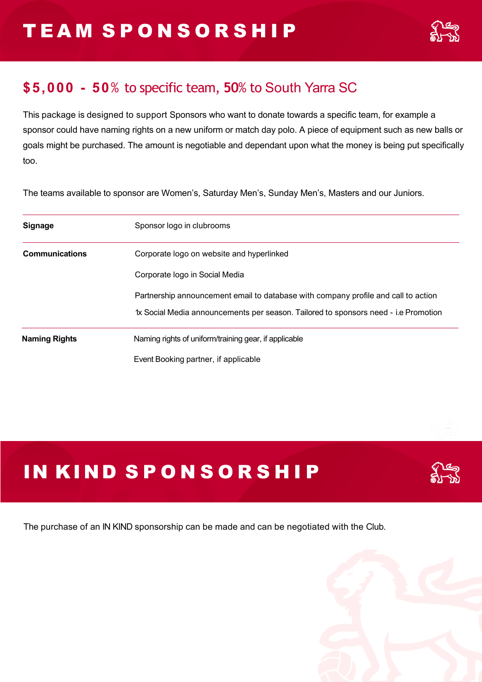### **\$5,000 - 50**% to specific team, **50**% to South Yarra SC

This package is designed to support Sponsors who want to donate towards a specific team, for example a sponsor could have naming rights on a new uniform or match day polo. A piece of equipment such as new balls or goals might be purchased. The amount is negotiable and dependant upon what the money is being put specifically too.

The teams available to sponsor are Women's, Saturday Men's, Sunday Men's, Masters and our Juniors.

| <b>Signage</b>        | Sponsor logo in clubrooms                                                           |
|-----------------------|-------------------------------------------------------------------------------------|
| <b>Communications</b> | Corporate logo on website and hyperlinked                                           |
|                       | Corporate logo in Social Media                                                      |
|                       | Partnership announcement email to database with company profile and call to action  |
|                       | 1x Social Media announcements per season. Tailored to sponsors need - i.e Promotion |
| <b>Naming Rights</b>  | Naming rights of uniform/training gear, if applicable                               |
|                       | Event Booking partner, if applicable                                                |

## IN KIND SPONSORSHIP



The purchase of an IN KIND sponsorship can be made and can be negotiated with the Club.